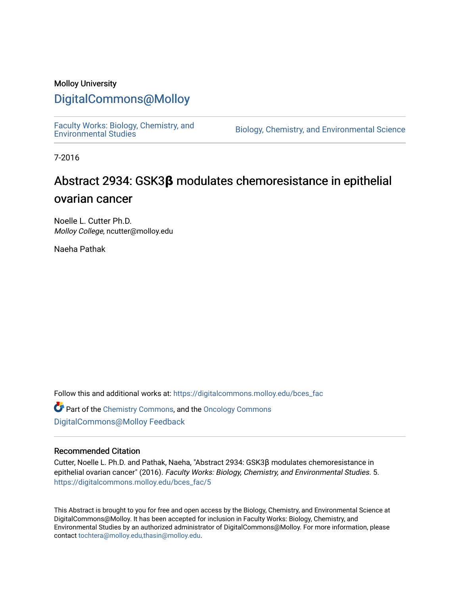### Molloy University

### [DigitalCommons@Molloy](https://digitalcommons.molloy.edu/)

[Faculty Works: Biology, Chemistry, and](https://digitalcommons.molloy.edu/bces_fac) 

Biology, Chemistry, and Environmental Science

7-2016

## Abstract 2934: GSK3**β** modulates chemoresistance in epithelial ovarian cancer

Noelle L. Cutter Ph.D. Molloy College, ncutter@molloy.edu

Naeha Pathak

Follow this and additional works at: [https://digitalcommons.molloy.edu/bces\\_fac](https://digitalcommons.molloy.edu/bces_fac?utm_source=digitalcommons.molloy.edu%2Fbces_fac%2F5&utm_medium=PDF&utm_campaign=PDFCoverPages)

Part of the [Chemistry Commons,](https://network.bepress.com/hgg/discipline/131?utm_source=digitalcommons.molloy.edu%2Fbces_fac%2F5&utm_medium=PDF&utm_campaign=PDFCoverPages) and the [Oncology Commons](https://network.bepress.com/hgg/discipline/694?utm_source=digitalcommons.molloy.edu%2Fbces_fac%2F5&utm_medium=PDF&utm_campaign=PDFCoverPages) [DigitalCommons@Molloy Feedback](https://molloy.libwizard.com/f/dcfeedback)

#### Recommended Citation

Cutter, Noelle L. Ph.D. and Pathak, Naeha, "Abstract 2934: GSK3β modulates chemoresistance in epithelial ovarian cancer" (2016). Faculty Works: Biology, Chemistry, and Environmental Studies. 5. [https://digitalcommons.molloy.edu/bces\\_fac/5](https://digitalcommons.molloy.edu/bces_fac/5?utm_source=digitalcommons.molloy.edu%2Fbces_fac%2F5&utm_medium=PDF&utm_campaign=PDFCoverPages)

This Abstract is brought to you for free and open access by the Biology, Chemistry, and Environmental Science at DigitalCommons@Molloy. It has been accepted for inclusion in Faculty Works: Biology, Chemistry, and Environmental Studies by an authorized administrator of DigitalCommons@Molloy. For more information, please contact [tochtera@molloy.edu,thasin@molloy.edu.](mailto:tochtera@molloy.edu,thasin@molloy.edu)